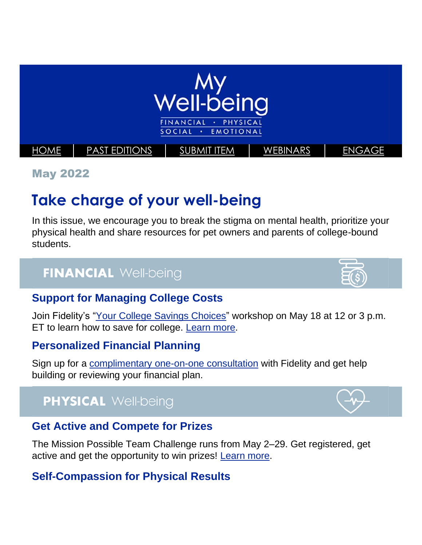

May 2022

# **Take charge of your well-being**

In this issue, we encourage you to break the stigma on mental health, prioritize your physical health and share resources for pet owners and parents of college-bound students.

## **FINANCIAL Well-being**

#### **Support for Managing College Costs**

Join Fidelity's ["Your College Savings Choices"](https://netbenefits.fidelity.com/NBLogin/?option=ledetail&Target=cours000000000028161) workshop on May 18 at 12 or 3 p.m. ET to learn how to save for college. [Learn more.](https://totalrewards.northropgrumman.com/article/128/explore-your-college-savings-choices)

#### **Personalized Financial Planning**

Sign up for a [complimentary one-on-one consultation](https://netbenefits.fidelity.com/NBLogin/?option=ledetail&Target=cours000000000009260) with Fidelity and get help building or reviewing your financial plan.

## **PHYSICAL Well-being**

#### **Get Active and Compete for Prizes**

The Mission Possible Team Challenge runs from May 2–29. Get registered, get active and get the opportunity to win prizes! [Learn more.](https://totalrewards.northropgrumman.com/article/122/join-the-mission-possible-activity-challenge)

#### **Self-Compassion for Physical Results**



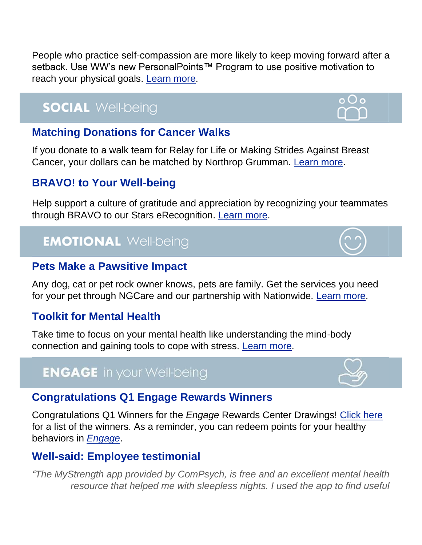People who practice self-compassion are more likely to keep moving forward after a setback. Use WW's new PersonalPoints™ Program to use positive motivation to reach your physical goals. [Learn more.](https://totalrewards.northropgrumman.com/article/130/practice-self-compassion)

## **SOCIAL Well-being**

#### **Matching Donations for Cancer Walks**

If you donate to a walk team for Relay for Life or Making Strides Against Breast Cancer, your dollars can be matched by Northrop Grumman. [Learn more.](https://totalrewards.northropgrumman.com/article/129/american-cancer-society-walk-team-match)

#### **BRAVO! to Your Well-being**

Help support a culture of gratitude and appreciation by recognizing your teammates through BRAVO to our Stars eRecognition. [Learn more.](https://totalrewards.northropgrumman.com/article/131/bravo-to-your-well-being)

## **EMOTIONAL Well-being**

#### **Pets Make a Pawsitive Impact**

Any dog, cat or pet rock owner knows, pets are family. Get the services you need for your pet through NGCare and our partnership with Nationwide. [Learn more.](https://totalrewards.northropgrumman.com/article/132/pets-make-a-pawsitive-impact)

#### **Toolkit for Mental Health**

Take time to focus on your mental health like understanding the mind-body connection and gaining tools to cope with stress. [Learn more.](https://totalrewards.northropgrumman.com/article/127/protect-your-peace)

### **ENGAGE** in your Well-being

#### **Congratulations Q1 Engage Rewards Winners**

Congratulations Q1 Winners for the *Engage* Rewards Center Drawings! [Click here](https://cdn.castlighthealth.com/image/upload/v1650988245/Northrop%20Grumman/Congratulations_to_Q1_Sweepstakes_Winners.pdf) for a list of the winners. As a reminder, you can redeem points for your healthy behaviors in *[Engage](https://app.engage-wellbeing.com/v2/login)*.

#### **Well-said: Employee testimonial**

*"The MyStrength app provided by ComPsych, is free and an excellent mental health resource that helped me with sleepless nights. I used the app to find useful*